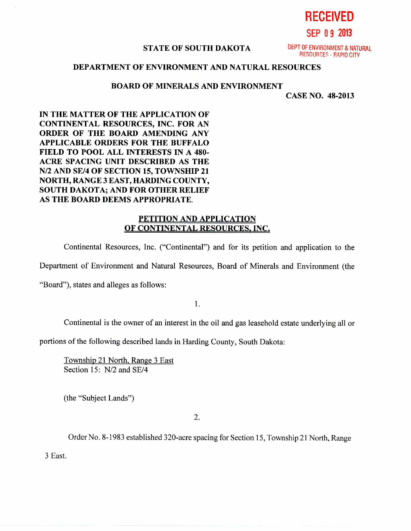**SEP 0 9 2013** 

**RECEIVED** 

## **STATE OF SOUTH DAKOTA** DEPT OF ENVIRONMENT & NATURAL

**RESOURCES - RAPID CITY** 

# **DEPARTMENT OF ENVIRONMENT AND NATURAL RESOURCES**

#### **BOARD OF MINERALS AND ENVIRONMENT**

**CASE NO. 48-2013** 

**IN THE MATTER OF THE APPLICATION OF CONTINENTAL RESOURCES, INC. FOR AN ORDER OF THE BOARD AMENDING ANY APPLICABLE ORDERS FOR THE BUFFALO FIELD TO POOL ALL INTERESTS IN A 480- ACRE SPACING UNIT DESCRIBED AS THE N/2 AND SE/4 OF SECTION 15, TOWNSHIP 21 NORTH, RANGE 3 EAST, HARDING COUNTY, SOUTH DAKOTA; AND FOR OTHER RELIEF AS THE BOARD DEEMS APPROPRIATE.** 

# **PETITION AND APPLICATION OF CONTINENTAL RESOURCES, INC.**

Continental Resources, Inc. ("Continental") and for its petition and application to the

Department of Environment and Natural Resources, Board of Minerals and Environment (the

"Board"), states and alleges as follows:

1.

Continental is the owner of an interest in the oil and gas leasehold estate underlying all or

portions of the following described lands in Harding County, South Dakota:

Township 21 North, Range 3 East Section 15: N/2 and SE/4

(the "Subject Lands")

 $2.$ 

Order No. 8-1983 established 320-acre spacing for Section 15, Township 21 North, Range

3 East.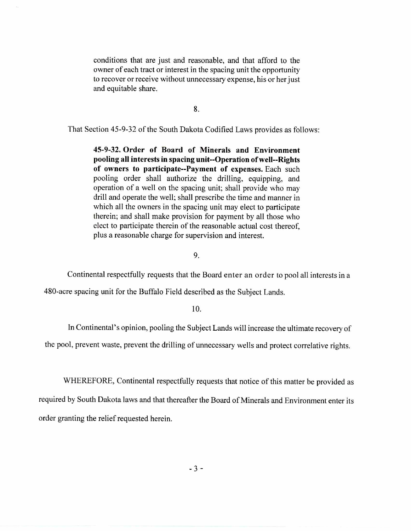conditions that are just and reasonable, and that afford to the owner of each tract or interest in the spacing unit the opportunity to recover or receive without unnecessary expense, his or her just and equitable share.

8.

That Section 45-9-32 of the South Dakota Codified Laws provides as follows:

**45-9-32. Order of Board of Minerals and Environment pooling all interests in spacing unit--Operation of well--Rights of owners to participate--Payment of expenses.** Each such pooling order shall authorize the drilling, equipping, and operation of a well on the spacing unit; shall provide who may drill and operate the well; shall prescribe the time and manner in which all the owners in the spacing unit may elect to participate therein; and shall make provision for payment by all those who elect to participate therein of the reasonable actual cost thereof, plus a reasonable charge for supervision and interest.

9.

Continental respectfully requests that the Board enter an order to pool all interests in a

480-acre spacing unit for the Buffalo Field described as the Subject Lands.

10.

In Continental's opinion, pooling the Subject Lands will increase the ultimate recovery of

the pool, prevent waste, prevent the drilling of unnecessary wells and protect correlative rights.

WHEREFORE, Continental respectfully requests that notice of this matter be provided as

required by South Dakota laws and that thereafter the Board of Minerals and Environment enter its order granting the relief requested herein.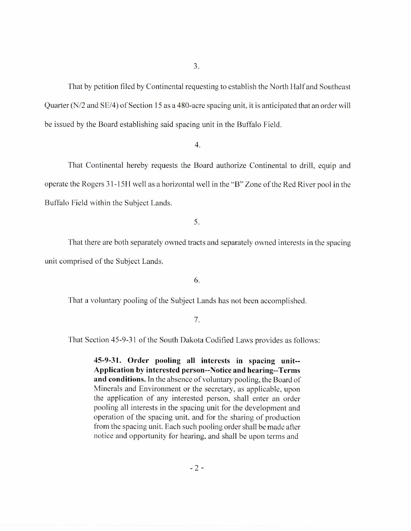That by petition filed by Continental requesting to establish the North Half and Southeast Quarter (N/2 and SE/4) of Section 15 as a 480-acre spacing unit, it is anticipated that an order will be issued by the Board establishing said spacing unit in the Buffalo Field.

4.

That Continental hereby requests the Board authorize Continental to drill, equip and operate the Rogers 31-15H well as a horizontal well in the "B" Zone of the Red River pool in the Buffalo Field within the Subject Lands.

5.

That there are both separately owned tracts and separately owned interests in the spacing unit comprised of the Subject Lands.

6.

That a voluntary pooling of the Subject Lands has not been accomplished.

## 7.

That Section 45-9-31 of the South Dakota Codified Laws provides as follows:

**45-9-31. Order pooling all interests in spacing unit-- Application by interested person--Notice and hearing--Terms and conditions.** In the absence of voluntary pooling, the Board of Minerals and Environment or the secretary, as applicable, upon the application of any interested person, shall enter an order pooling all interests in the spacing unit for the development and operation of the spacing unit, and for the sharing of production from the spacing unit. Each such pooling order shall be made after notice and opportunity for hearing, and shall be upon terms and

 $-2-$